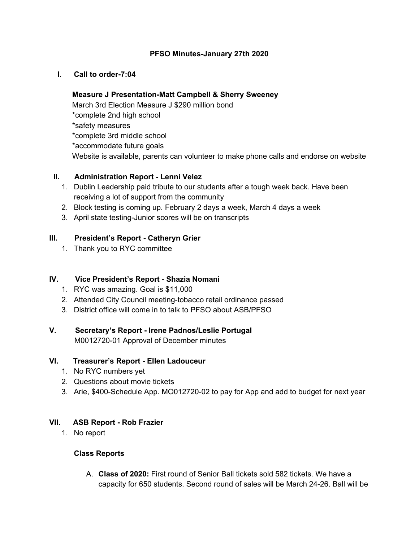#### **PFSO Minutes-January 27th 2020**

#### **I. Call to order-7:04**

### **Measure J Presentation-Matt Campbell & Sherry Sweeney**

March 3rd Election Measure J \$290 million bond \*complete 2nd high school \*safety measures \*complete 3rd middle school \*accommodate future goals Website is available, parents can volunteer to make phone calls and endorse on website

### **II. Administration Report - Lenni Velez**

- 1. Dublin Leadership paid tribute to our students after a tough week back. Have been receiving a lot of support from the community
- 2. Block testing is coming up. February 2 days a week, March 4 days a week
- 3. April state testing-Junior scores will be on transcripts

# **III. President's Report - Catheryn Grier**

1. Thank you to RYC committee

# **IV. Vice President's Report - Shazia Nomani**

- 1. RYC was amazing. Goal is \$11,000
- 2. Attended City Council meeting-tobacco retail ordinance passed
- 3. District office will come in to talk to PFSO about ASB/PFSO

#### **V. Secretary's Report - Irene Padnos/Leslie Portugal**

M0012720-01 Approval of December minutes

#### **VI. Treasurer's Report - Ellen Ladouceur**

- 1. No RYC numbers yet
- 2. Questions about movie tickets
- 3. Arie, \$400-Schedule App. MO012720-02 to pay for App and add to budget for next year

#### **VII. ASB Report - Rob Frazier**

1. No report

#### **Class Reports**

A. **Class of 2020:** First round of Senior Ball tickets sold 582 tickets. We have a capacity for 650 students. Second round of sales will be March 24-26. Ball will be